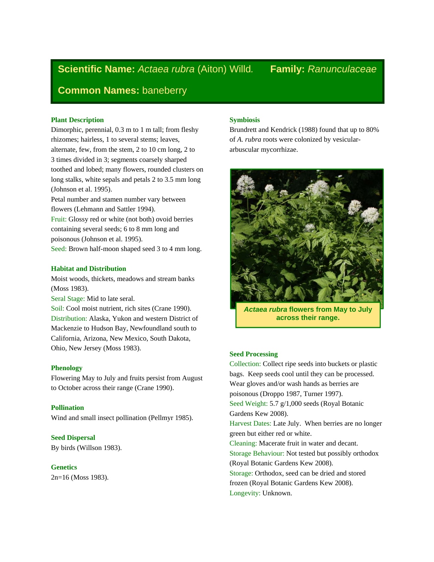# **Scientific Name:** *Actaea rubra* (Aiton) Willd*.* **Family:** *Ranunculaceae*

## **Common Names:** baneberry

## **Plant Description**

Dimorphic, perennial, 0.3 m to 1 m tall; from fleshy rhizomes; hairless, 1 to several stems; leaves, alternate, few, from the stem, 2 to 10 cm long, 2 to 3 times divided in 3; segments coarsely sharped toothed and lobed; many flowers, rounded clusters on long stalks, white sepals and petals 2 to 3.5 mm long (Johnson et al. 1995).

Petal number and stamen number vary between flowers (Lehmann and Sattler 1994).

Fruit: Glossy red or white (not both) ovoid berries containing several seeds; 6 to 8 mm long and poisonous (Johnson et al. 1995).

Seed: Brown half-moon shaped seed 3 to 4 mm long.

## **Habitat and Distribution**

Moist woods, thickets, meadows and stream banks (Moss 1983).

Seral Stage: Mid to late seral.

Soil: Cool moist nutrient, rich sites (Crane 1990). Distribution: Alaska, Yukon and western District of Mackenzie to Hudson Bay, Newfoundland south to California, Arizona, New Mexico, South Dakota, Ohio, New Jersey (Moss 1983).

## **Phenology**

Flowering May to July and fruits persist from August to October across their range (Crane 1990).

## **Pollination**

Wind and small insect pollination (Pellmyr 1985).

**Seed Dispersal**  By birds (Willson 1983).

## **Genetics**

2n=16 (Moss 1983).

## **Symbiosis**

Brundrett and Kendrick (1988) found that up to 80% of *A. rubra* roots were colonized by vesiculararbuscular mycorrhizae.



*Actaea rubra* **flowers from May to July across their range.** 

## **Seed Processing**

Collection: Collect ripe seeds into buckets or plastic bags. Keep seeds cool until they can be processed. Wear gloves and/or wash hands as berries are poisonous (Droppo 1987, Turner 1997). Seed Weight: 5.7 g/1,000 seeds (Royal Botanic Gardens Kew 2008). Harvest Dates: Late July. When berries are no longer green but either red or white. Cleaning: Macerate fruit in water and decant. Storage Behaviour: Not tested but possibly orthodox (Royal Botanic Gardens Kew 2008). Storage: Orthodox, seed can be dried and stored frozen (Royal Botanic Gardens Kew 2008). Longevity: Unknown.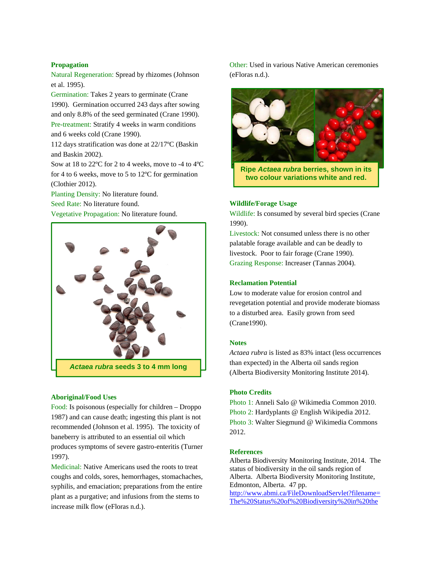## **Propagation**

Natural Regeneration: Spread by rhizomes (Johnson et al. 1995).

Germination: Takes 2 years to germinate (Crane 1990). Germination occurred 243 days after sowing and only 8.8% of the seed germinated (Crane 1990). Pre-treatment: Stratify 4 weeks in warm conditions and 6 weeks cold (Crane 1990).

112 days stratification was done at 22/17ºC (Baskin and Baskin 2002).

Sow at 18 to 22ºC for 2 to 4 weeks, move to -4 to 4ºC for 4 to 6 weeks, move to 5 to 12ºC for germination (Clothier 2012).

Planting Density: No literature found.

Seed Rate: No literature found.

Vegetative Propagation: No literature found.



## **Aboriginal/Food Uses**

Food: Is poisonous (especially for children – Droppo 1987) and can cause death; ingesting this plant is not recommended (Johnson et al. 1995). The toxicity of baneberry is attributed to an essential oil which produces symptoms of severe gastro-enteritis (Turner 1997).

Medicinal: Native Americans used the roots to treat coughs and colds, sores, hemorrhages, stomachaches, syphilis, and emaciation; preparations from the entire plant as a purgative; and infusions from the stems to increase milk flow (eFloras n.d.).

Other: Used in various Native American ceremonies (eFloras n.d.).



**two colour variations white and red.**

## **Wildlife/Forage Usage**

Wildlife: Is consumed by several bird species (Crane 1990).

Livestock: Not consumed unless there is no other palatable forage available and can be deadly to livestock. Poor to fair forage (Crane 1990). Grazing Response: Increaser (Tannas 2004).

## **Reclamation Potential**

Low to moderate value for erosion control and revegetation potential and provide moderate biomass to a disturbed area. Easily grown from seed (Crane1990).

#### **Notes**

*Actaea rubra* is listed as 83% intact (less occurrences than expected) in the Alberta oil sands region (Alberta Biodiversity Monitoring Institute 2014).

## **Photo Credits**

Photo 1: Anneli Salo @ Wikimedia Common 2010. Photo 2: Hardyplants @ English Wikipedia 2012. Photo 3: Walter Siegmund @ Wikimedia Commons 2012.

## **References**

Alberta Biodiversity Monitoring Institute, 2014. The status of biodiversity in the oil sands region of Alberta. Alberta Biodiversity Monitoring Institute, Edmonton, Alberta. 47 pp. http://www.abmi.ca/FileDownloadServlet?filename= The%20Status%20of%20Biodiversity%20in%20the